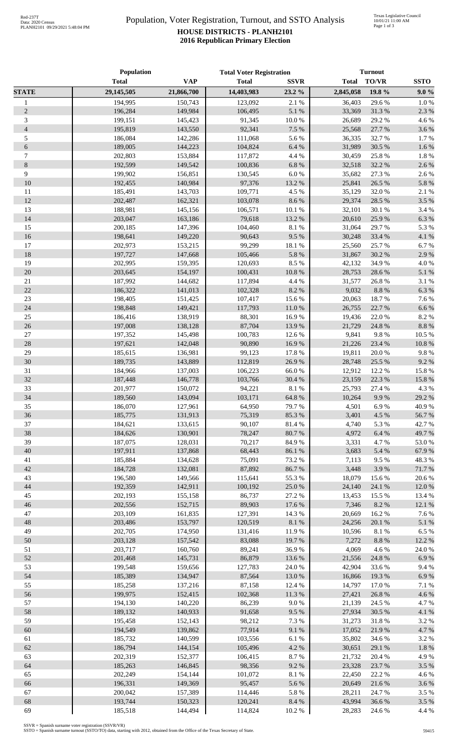## Population, Voter Registration, Turnout, and SSTO Analysis **HOUSE DISTRICTS - PLANH2101 2016 Republican Primary Election**

|                  | Population         |                    | <b>Total Voter Registration</b> |                     | <b>Turnout</b>   |                 |               |
|------------------|--------------------|--------------------|---------------------------------|---------------------|------------------|-----------------|---------------|
|                  | <b>Total</b>       | <b>VAP</b>         | <b>Total</b>                    | <b>SSVR</b>         | <b>Total</b>     | <b>TO/VR</b>    | <b>SSTO</b>   |
| <b>STATE</b>     | 29,145,505         | 21,866,700         | 14,403,983                      | 23.2 %              | 2,845,058        | 19.8 %          | 9.0%          |
| $\mathbf{1}$     | 194,995            | 150,743            | 123,092                         | 2.1 %               | 36,403           | 29.6%           | 1.0%          |
| $\sqrt{2}$       | 196,284            | 149,984            | 106,495                         | 5.1 %               | 33,369           | 31.3%           | 2.3 %         |
| 3                | 199,151            | 145,423            | 91,345                          | $10.0\ \%$          | 26,689           | 29.2 %          | 4.6%          |
| $\overline{4}$   | 195,819            | 143,550            | 92,341                          | 7.5 %               | 25,568           | 27.7 %          | 3.6%          |
| 5                | 186,084            | 142,286            | 111,068                         | 5.6 %               | 36,335           | 32.7 %          | 1.7%          |
| $\sqrt{6}$       | 189,005            | 144,223            | 104,824                         | $6.4~\%$            | 31,989           | 30.5 %          | 1.6%          |
| $\boldsymbol{7}$ | 202,803            | 153,884            | 117,872                         | 4.4 %               | 30,459           | 25.8%           | 1.8%          |
| $\,8\,$          | 192,599            | 149,542            | 100,836                         | $6.8~\%$            | 32,518           | 32.2 %          | 2.6%          |
| $\overline{9}$   | 199,902            | 156,851            | 130,545                         | $6.0\ \%$           | 35,682           | 27.3 %          | 2.6%          |
| 10               | 192,455            | 140,984            | 97,376                          | 13.2 %              | 25,841           | 26.5 %          | 5.8%          |
| 11               | 185,491            | 143,703            | 109,771                         | 4.5 %               | 35,129           | 32.0%           | 2.1 %         |
| 12               | 202,487            | 162,321            | 103,078                         | $8.6\ \%$           | 29,374           | 28.5 %          | 3.5 %         |
| 13               | 188,981            | 145,156            | 106,571                         | $10.1~\%$           | 32,101           | 30.1 %          | 3.4 %         |
| 14               | 203,047            | 163,186            | 79,618                          | 13.2 %              | 20,610           | 25.9%           | 6.3%          |
| 15               | 200,185            | 147,396            | 104,460                         | $8.1\ \%$           | 31,064           | 29.7%           | 5.3 %         |
| 16               | 198,641            | 149,220            | 90,643                          | 9.5 %               | 30,248           | 33.4 %          | 4.1%          |
| 17               | 202,973            | 153,215            | 99,299                          | 18.1 %              | 25,560           | 25.7%           | 6.7%          |
| 18               | 197,727            | 147,668            | 105,466                         | $5.8~\%$            | 31,867           | 30.2%           | 2.9%          |
| 19               | 202,995            | 159,395            | 120,693                         | 8.5 %               | 42,132           | 34.9%           | 4.0%          |
| $20\,$           | 203,645            | 154,197            | 100,431                         | $10.8~\%$           | 28,753           | 28.6%           | 5.1 %         |
| $21\,$<br>22     | 187,992<br>186,322 | 144,682            | 117,894                         | 4.4 %<br>$8.2~\%$   | 31,577<br>9,032  | 26.8%           | 3.1 %         |
| 23               |                    | 141,013            | 102,328                         |                     |                  | 8.8 %           | 6.3%          |
| 24               | 198,405<br>198,848 | 151,425<br>149,421 | 107,417                         | 15.6%               | 20,063<br>26,755 | 18.7%<br>22.7 % | 7.6%          |
| 25               |                    |                    | 117,793<br>88,301               | $11.0\ \%$<br>16.9% |                  | 22.0%           | 6.6%<br>8.2 % |
| 26               | 186,416<br>197,008 | 138,919<br>138,128 | 87,704                          | 13.9%               | 19,436<br>21,729 | 24.8%           | 8.8 %         |
| 27               | 197,352            | 145,498            | 100,783                         | 12.6 %              | 9,841            | 9.8%            | 10.5 %        |
| $28\,$           | 197,621            | 142,048            | 90,890                          | 16.9%               | 21,226           | 23.4 %          | 10.8 %        |
| 29               | 185,615            | 136,981            | 99,123                          | 17.8 %              | 19,811           | 20.0%           | 9.8%          |
| 30               | 189,735            | 143,889            | 112,819                         | 26.9%               | 28,748           | 25.5 %          | 9.2%          |
| 31               | 184,966            | 137,003            | 106,223                         | 66.0%               | 12,912           | 12.2 %          | 15.8%         |
| 32               | 187,448            | 146,778            | 103,766                         | 30.4 %              | 23,159           | 22.3 %          | 15.8%         |
| 33               | 201,977            | 150,072            | 94,221                          | $8.1\ \%$           | 25,793           | 27.4 %          | 4.3 %         |
| 34               | 189,560            | 143,094            | 103,171                         | 64.8 %              | 10,264           | 9.9%            | 29.2 %        |
| 35               | 186,070            | 127,961            | 64,950                          | 79.7%               | 4,501            | $6.9~\%$        | 40.9%         |
| 36               | 185,775            | 131,913            | 75,319                          | 85.3%               | 3,401            | 4.5 %           | 56.7%         |
| 37               | 184,621            | 133,615            | 90,107                          | 81.4 %              | 4,740            | 5.3 %           | 42.7%         |
| 38               | 184,626            | 130,901            | 78,247                          | 80.7%               | 4,972            | 6.4 %           | 49.7%         |
| 39               | 187,075            | 128,031            | 70,217                          | 84.9%               | 3,331            | 4.7%            | 53.0%         |
| 40               | 197,911            | 137,868            | 68,443                          | 86.1%               | 3,683            | 5.4 %           | 67.9%         |
| 41               | 185,884            | 134,628            | 75,091                          | 73.2 %              | 7,113            | 9.5%            | 48.3%         |
| 42               | 184,728            | 132,081            | 87,892                          | 86.7%               | 3,448            | 3.9%            | 71.7%         |
| 43               | 196,580            | 149,566            | 115,641                         | 55.3 %              | 18,079           | 15.6 %          | 20.6%         |
| 44               | 192,359            | 142,911            | 100,192                         | 25.0%               | 24,140           | 24.1 %          | 12.0%         |
| 45               | 202,193            | 155,158            | 86,737                          | 27.2 %              | 13,453           | 15.5 %          | 13.4 %        |
| 46               | 202,556            | 152,715            | 89,903                          | 17.6 %              | 7,346            | $8.2~\%$        | 12.1 %        |
| 47               | 203,109            | 161,835            | 127,391                         | 14.3 %              | 20,669           | 16.2%           | 7.6%          |
| 48               | 203,486            | 153,797            | 120,519                         | $8.1~\%$            | 24,256           | $20.1~\%$       | 5.1 %         |
| 49               | 202,705            | 174,950            | 131,416                         | 11.9%               | 10,596           | 8.1 %           | 6.5%          |
| 50               | 203,128            | 157,542            | 83,088                          | 19.7%               | 7,272            | $8.8\ \%$       | 12.2 %        |
| 51               | 203,717            | 160,760            | 89,241                          | 36.9%               | 4,069            | 4.6%            | 24.0%         |
| 52               | 201,468            | 145,731            | 86,879                          | 13.6 %              | 21,556           | 24.8 %          | 6.9%          |
| 53               | 199,548            | 159,656            | 127,783                         | 24.0%               | 42,904           | 33.6%           | 9.4%          |
| 54               | 185,389            | 134,947            | 87,564                          | $13.0\ \%$          | 16,866           | 19.3 %          | 6.9%          |
| 55               | 185,258            | 137,216            | 87,158                          | 12.4 %              | 14,797           | 17.0%           | 7.1 %         |
| 56               | 199,975            | 152,415            | 102,368                         | $11.3\ \%$          | 27,421           | 26.8%           | 4.6%          |
| 57               | 194,130            | 140,220            | 86,239                          | $9.0\ \%$           | 21,139           | 24.5 %          | 4.7%          |
| 58               | 189,132            | 140,933            | 91,658                          | 9.5%                | 27,934           | 30.5 %          | 4.1%          |
| 59               | 195,458            | 152,143            | 98,212                          | 7.3 %               | 31,273           | 31.8%           | 3.2 %         |
| 60               | 194,549            | 139,862            | 77,914                          | $9.1\ \%$           | 17,052           | 21.9%           | 4.7%          |
| 61               | 185,732            | 140,599            | 103,556                         | $6.1~\%$            | 35,802           | 34.6 %          | 3.2 %         |
| 62               | 186,794            | 144,154            | 105,496                         | 4.2 %               | 30,651           | 29.1 %          | 1.8 %         |
| 63               | 202,319            | 152,377            | 106,415                         | 8.7%                | 21,732           | 20.4 %          | 4.9%          |
| 64               | 185,263            | 146,845            | 98,356                          | 9.2%                | 23,328           | 23.7%           | 3.5%          |
| 65               | 202,249            | 154,144            | 101,072                         | $8.1~\%$            | 22,450           | 22.2 %          | 4.6 %         |
| 66               | 196,331            | 149,369            | 95,457                          | 5.6 %               | 20,649           | 21.6%           | 3.6 %         |
| 67               | 200,042            | 157,389            | 114,446                         | $5.8~\%$            | 28,211           | 24.7%           | 3.5%          |
| 68<br>69         | 193,744            | 150,323            | 120,241                         | $8.4~\%$            | 43,994           | 36.6%           | 3.5%<br>4.4 % |
|                  | 185,518            | 144,494            | 114,824                         | 10.2%               | 28,283           | 24.6 %          |               |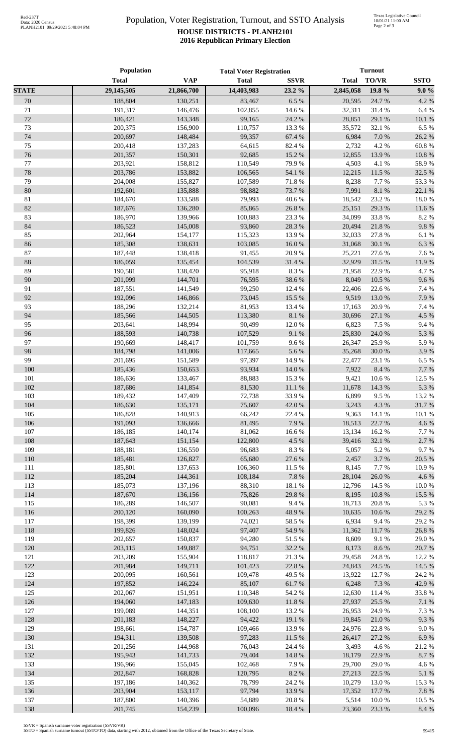## Population, Voter Registration, Turnout, and SSTO Analysis **HOUSE DISTRICTS - PLANH2101 2016 Republican Primary Election**

|              | Population         |                    | <b>Total Voter Registration</b> |               | <b>Turnout</b>   |                |              |
|--------------|--------------------|--------------------|---------------------------------|---------------|------------------|----------------|--------------|
|              | <b>Total</b>       | <b>VAP</b>         | <b>Total</b>                    | <b>SSVR</b>   | <b>Total</b>     | TO/VR          | <b>SSTO</b>  |
| <b>STATE</b> | 29,145,505         | 21,866,700         | 14,403,983                      | 23.2 %        | 2,845,058        | 19.8 %         | 9.0%         |
| 70           | 188,804            | 130,251            | 83,467                          | 6.5 %         | 20,595           | 24.7 %         | 4.2 %        |
| 71           | 191,317            | 146,476            | 102,855                         | 14.6 %        | 32,311           | 31.4%          | 6.4%         |
| 72           | 186,421            | 143,348            | 99,165                          | 24.2 %        | 28,851           | 29.1 %         | 10.1 %       |
| 73           | 200,375            | 156,900            | 110,757                         | 13.3 %        | 35,572           | 32.1 %         | 6.5 %        |
| 74           | 200,697            | 148,484            | 99,357                          | 67.4 %        | 6,984            | 7.0 %          | 26.2%        |
| 75           | 200,418            | 137,283            | 64,615                          | 82.4 %        | 2,732            | 4.2 %          | 60.8%        |
| 76           | 201,357            | 150,301            | 92,685                          | 15.2 %        | 12,855           | 13.9%          | 10.8%        |
| $77\,$       | 203,921            | 158,812            | 110,549                         | 79.9%         | 4,503            | 4.1 %          | 58.9%        |
| 78           | 203,786            | 153,882            | 106,565                         | 54.1 %        | 12,215           | 11.5 %         | 32.5 %       |
| 79           | 204,008            | 155,827            | 107,589                         | 71.8 %        | 8,238            | 7.7 %          | 53.3%        |
| 80           | 192,601            | 135,888            | 98,882                          | 73.7%         | 7,991            | 8.1 %          | 22.1 %       |
| 81           | 184,670            | 133,588            | 79,993                          | 40.6%         | 18,542           | 23.2 %         | 18.0%        |
| 82           | 187,676            | 136,280            | 85,865                          | 26.8%         | 25,151           | 29.3 %         | 11.6%        |
| 83           | 186,970            | 139,966            | 100,883                         | 23.3 %        | 34,099           | 33.8%          | 8.2%         |
| 84           | 186,523            | 145,008            | 93,860                          | 28.3%         | 20,494           | 21.8%          | 9.8%         |
| 85           | 202,964            | 154,177            | 115,323                         | 13.9%         | 32,033           | 27.8%          | 6.1%         |
| 86           | 185,308            | 138,631            | 103,085                         | 16.0 %        | 31,068           | 30.1 %         | 6.3%         |
| $87\,$       | 187,448            | 138,418            | 91,455                          | 20.9%         | 25,221           | 27.6%          | 7.6%         |
| 88           | 186,059            | 135,454            | 104,539                         | 31.4%         | 32,929           | 31.5%          | 11.9%        |
| 89           | 190,581            | 138,420            | 95,918                          | $8.3\ \%$     | 21,958           | 22.9%          | 4.7%         |
| 90           | 201,099            | 144,701            | 76,595                          | 38.6%         | 8,049            | 10.5 %         | 9.6%         |
| 91           | 187,551            | 141,549            | 99,250                          | 12.4 %        | 22,406           | 22.6%          | 7.4 %        |
| 92           | 192,096            | 146,866            | 73,045                          | 15.5 %        | 9,519            | 13.0%          | 7.9%         |
| 93           | 188,296            | 132,214            | 81,953                          | 13.4 %        | 17,163           | 20.9%          | 7.4 %        |
| 94           | 185,566            | 144,505            | 113,380                         | $8.1~\%$      | 30,696           | 27.1 %         | 4.5 %        |
| 95           | 203,641            | 148,994            | 90,499                          | $12.0\ \%$    | 6,823            | 7.5 %          | 9.4%         |
| 96<br>97     | 188,593            | 140,738            | 107,529                         | 9.1%          | 25,830           | 24.0%          | 5.3 %        |
| 98           | 190,669<br>184,798 | 148,417<br>141,006 | 101,759<br>117,665              | 9.6%<br>5.6 % | 26,347<br>35,268 | 25.9%<br>30.0% | 5.9%<br>3.9% |
| 99           | 201,695            | 151,589            | 97,397                          | 14.9%         | 22,477           | 23.1 %         | 6.5%         |
| 100          | 185,436            | 150,653            | 93,934                          | 14.0 %        | 7,922            | 8.4 %          | 7.7 %        |
| 101          | 186,636            | 133,467            | 88,883                          | 15.3 %        | 9,421            | 10.6%          | 12.5 %       |
| 102          | 187,686            | 141,854            | 81,530                          | 11.1%         | 11,678           | 14.3 %         | 5.3%         |
| 103          | 189,432            | 147,409            | 72,738                          | 33.9%         | 6,899            | 9.5 %          | 13.2 %       |
| 104          | 186,630            | 135,171            | 75,607                          | 42.0%         |                  | 3,243 4.3 %    | 31.7%        |
| 105          | 186,828            | 140,913            | 66,242                          | 22.4 %        | 9,363            | 14.1 %         | 10.1 %       |
| 106          | 191,093            | 136,666            | 81,495                          | 7.9%          | 18,513           | 22.7 %         | 4.6%         |
| 107          | 186,185            | 140,174            | 81,062                          | 16.6%         | 13,134           | 16.2%          | 7.7%         |
| 108          | 187,643            | 151,154            | 122,800                         | 4.5 %         | 39,416           | 32.1 %         | 2.7%         |
| 109          | 188,181            | 136,550            | 96,683                          | 8.3 %         | 5,057            | 5.2 %          | 9.7%         |
| 110          | 185,481            | 126,827            | 65,680                          | 27.6 %        | 2,457            | 3.7%           | 20.5 %       |
| 111          | 185,801            | 137,653            | 106,360                         | 11.5 %        | 8,145            | 7.7 %          | 10.9%        |
| 112          | 185,204            | 144,361            | 108,184                         | 7.8%          | 28,104           | 26.0%          | 4.6%         |
| 113          | 185,073            | 137,196            | 88,310                          | 18.1%         | 12,796           | 14.5 %         | 10.0%        |
| 114          | 187,670            | 136,156            | 75,826                          | 29.8%         | 8,195            | 10.8%          | 15.5 %       |
| 115          | 186,289            | 146,507            | 90,081                          | 9.4%          | 18,713           | 20.8%          | 5.3%         |
| 116          | 200,120            | 160,090            | 100,263                         | 48.9%         | 10,635           | 10.6%          | 29.2 %       |
| 117          | 198,399            | 139,199            | 74,021                          | 58.5%         | 6,934            | 9.4%           | 29.2 %       |
| 118          | 199,826            | 148,024            | 97,407                          | 54.9%         | 11,362           | 11.7%          | 26.8%        |
| 119          | 202,657            | 150,837            | 94,280                          | 51.5%         | 8,609            | 9.1%           | 29.0%        |
| 120          | 203,115            | 149,887            | 94,751                          | 32.2 %        | 8,173            | 8.6%           | 20.7%        |
| 121          | 203,209            | 155,904            | 118,817                         | 21.3%         | 29,458           | 24.8%          | 12.2 %       |
| 122          | 201,984            | 149,711            | 101,423                         | 22.8%         | 24,843           | 24.5 %         | 14.5 %       |
| 123          | 200,095            | 160,561            | 109,478                         | 49.5 %        | 13,922           | 12.7 %         | 24.2 %       |
| 124          | 197,852            | 146,224            | 85,107                          | 61.7%         | 6,248            | 7.3 %          | 42.9%        |
| 125          | 202,067            | 151,951            | 110,348                         | 54.2 %        | 12,630           | 11.4 %         | 33.8%        |
| 126          | 194,060            | 147,183            | 109,630                         | $11.8\ \%$    | 27,937           | 25.5 %         | 7.1 %        |
| 127          | 199,089            | 144,351            | 108,100                         | 13.2 %        | 26,953           | 24.9 %         | 7.3 %        |
| 128          | 201,183            | 148,227            | 94,422                          | 19.1 %        | 19,845           | 21.0%          | 9.3%         |
| 129          | 198,661            | 154,787            | 109,466                         | 13.9%         | 24,976           | 22.8%          | 9.0%         |
| 130          | 194,311            | 139,508            | 97,283                          | 11.5 %        | 26,417           | 27.2 %         | 6.9%         |
| 131          | 201,256            | 144,968            | 76,043                          | 24.4 %        | 3,493            | 4.6%           | 21.2%        |
| 132          | 195,943            | 141,733            | 79,404                          | 14.8 %        | 18,179           | 22.9 %         | 8.7%         |
| 133          | 196,966            | 155,045            | 102,468                         | 7.9%          | 29,700           | 29.0%          | 4.6%         |
| 134          | 202,847            | 168,828            | 120,795                         | $8.2~\%$      | 27,213           | 22.5 %         | 5.1 %        |
| 135          | 197,186            | 140,362            | 78,799                          | 24.2 %        | 10,279           | 13.0 %         | 15.3 %       |
| 136          | 203,904            | 153,117            | 97,794                          | 13.9%         | 17,352           | 17.7 %         | 7.8%         |
| 137<br>138   | 187,800            | 140,396            | 54,889                          | 20.8%         | 5,514            | 10.0%          | 10.5 %       |
|              | 201,745            | 154,239            | 100,096                         | 18.4 %        | 23,360           | 23.3 %         | 8.4 %        |